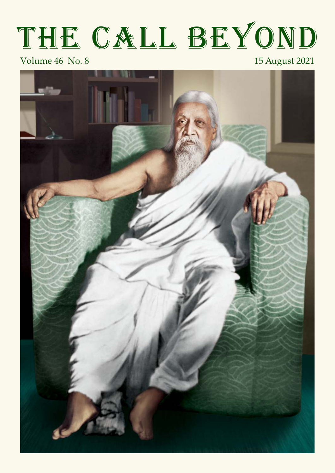# THE CALL BEYOND

15 August 2021

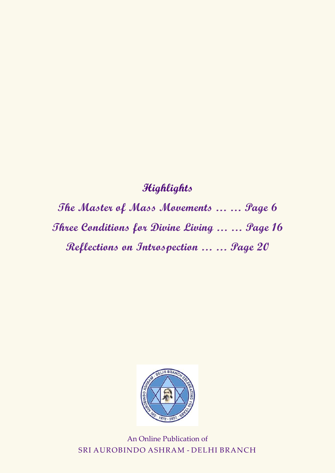#### **Highlights**

**The Master of Mass Movements … … Page 6 Three Conditions for Divine Living … … Page 16 Reflections on Introspection … … Page 20**



An Online Publication of SRI AUROBINDO ASHRAM - DELHI BRANCH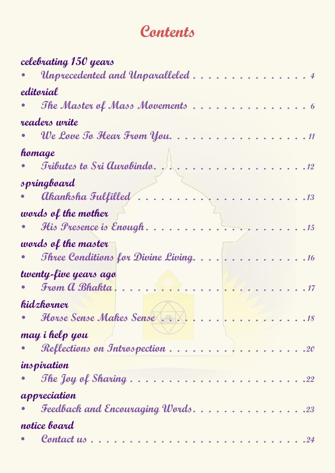# Contents

| celebrating 150 years                                                                                                                                                           |
|---------------------------------------------------------------------------------------------------------------------------------------------------------------------------------|
| Unprecedented and Unparalleled                                                                                                                                                  |
| editorial                                                                                                                                                                       |
| The Master of Mass Movements                                                                                                                                                    |
| <i>readers write</i>                                                                                                                                                            |
| We Love To Hear From You. .<br>. 11<br>المناطق المناطق                                                                                                                          |
| homage<br>Tributes to Sri Aurobindo. N<br>.12                                                                                                                                   |
| springboard                                                                                                                                                                     |
| Akanksha Fulfilled<br>.13                                                                                                                                                       |
| words of the mother<br>His Presence is Enough.<br>.15<br>$\frac{1}{2} \left( \frac{1}{2} \right) \frac{1}{2} \left( \frac{1}{2} \right) \frac{1}{2} \left( \frac{1}{2} \right)$ |
| words of the master                                                                                                                                                             |
| Three Conditions for Divine Living.<br>. 16                                                                                                                                     |
| twenty-five years ago<br>From a Bhakta.                                                                                                                                         |
| kidzkorner                                                                                                                                                                      |
| may i help you                                                                                                                                                                  |
| Reflections on Introspection20                                                                                                                                                  |
| <i>inspiration</i>                                                                                                                                                              |
| The Joy of Sharing22                                                                                                                                                            |
| appreciation                                                                                                                                                                    |
| Feedback and Encouraging Words. 23                                                                                                                                              |
| notice board                                                                                                                                                                    |
| Contact us<br>24                                                                                                                                                                |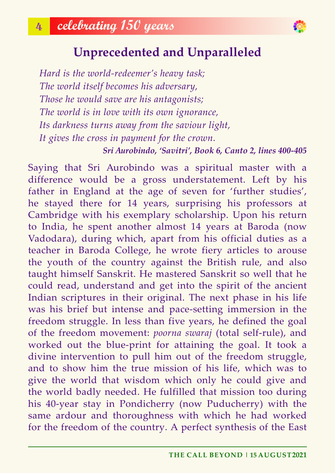

#### **Unprecedented and Unparalleled**

*Hard is the world-redeemer's heavy task; The world itself becomes his adversary, Those he would save are his antagonists; The world is in love with its own ignorance, Its darkness turns away from the saviour light, It gives the cross in payment for the crown. Sri Aurobindo, 'Savitri', Book 6, Canto 2, lines 400-405*

Saying that Sri Aurobindo was a spiritual master with a difference would be a gross understatement. Left by his father in England at the age of seven for 'further studies', he stayed there for 14 years, surprising his professors at Cambridge with his exemplary scholarship. Upon his return to India, he spent another almost 14 years at Baroda (now Vadodara), during which, apart from his official duties as a teacher in Baroda College, he wrote fiery articles to arouse the youth of the country against the British rule, and also taught himself Sanskrit. He mastered Sanskrit so well that he could read, understand and get into the spirit of the ancient Indian scriptures in their original. The next phase in his life was his brief but intense and pace-setting immersion in the freedom struggle. In less than five years, he defined the goal of the freedom movement: *poorna swaraj* (total self-rule), and worked out the blue-print for attaining the goal. It took a divine intervention to pull him out of the freedom struggle, and to show him the true mission of his life, which was to give the world that wisdom which only he could give and the world badly needed. He fulfilled that mission too during his 40-year stay in Pondicherry (now Puducherry) with the same ardour and thoroughness with which he had worked for the freedom of the country. A perfect synthesis of the East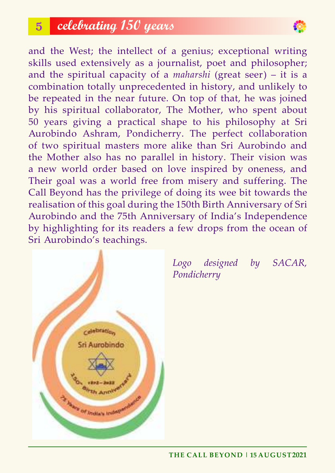# 5 **celebrating 150 years**



and the West; the intellect of a genius; exceptional writing skills used extensively as a journalist, poet and philosopher; and the spiritual capacity of a *maharshi* (great seer) – it is a combination totally unprecedented in history, and unlikely to be repeated in the near future. On top of that, he was joined by his spiritual collaborator, The Mother, who spent about 50 years giving a practical shape to his philosophy at Sri Aurobindo Ashram, Pondicherry. The perfect collaboration of two spiritual masters more alike than Sri Aurobindo and the Mother also has no parallel in history. Their vision was a new world order based on love inspired by oneness, and Their goal was a world free from misery and suffering. The Call Beyond has the privilege of doing its wee bit towards the realisation of this goal during the 150th Birth Anniversary of Sri Aurobindo and the 75th Anniversary of India's Independence by highlighting for its readers a few drops from the ocean of Sri Aurobindo's teachings.



*Logo designed by SACAR, Pondicherry*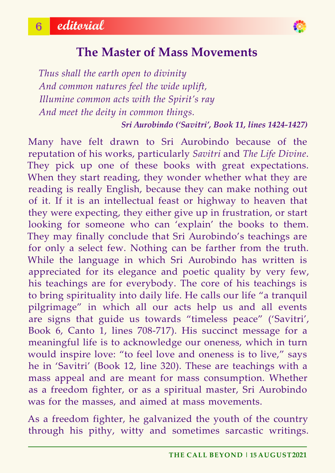

#### **The Master of Mass Movements**

*Thus shall the earth open to divinity And common natures feel the wide uplift, Illumine common acts with the Spirit's ray And meet the deity in common things. Sri Aurobindo ('Savitri', Book 11, lines 1424-1427)*

Many have felt drawn to Sri Aurobindo because of the reputation of his works, particularly *Savitri* and *The Life Divine*. They pick up one of these books with great expectations. When they start reading, they wonder whether what they are reading is really English, because they can make nothing out of it. If it is an intellectual feast or highway to heaven that they were expecting, they either give up in frustration, or start looking for someone who can 'explain' the books to them. They may finally conclude that Sri Aurobindo's teachings are for only a select few. Nothing can be farther from the truth. While the language in which Sri Aurobindo has written is appreciated for its elegance and poetic quality by very few, his teachings are for everybody. The core of his teachings is to bring spirituality into daily life. He calls our life "a tranquil pilgrimage" in which all our acts help us and all events are signs that guide us towards "timeless peace" ('Savitri', Book 6, Canto 1, lines 708-717). His succinct message for a meaningful life is to acknowledge our oneness, which in turn would inspire love: "to feel love and oneness is to live," says he in 'Savitri' (Book 12, line 320). These are teachings with a mass appeal and are meant for mass consumption. Whether as a freedom fighter, or as a spiritual master, Sri Aurobindo was for the masses, and aimed at mass movements.

As a freedom fighter, he galvanized the youth of the country through his pithy, witty and sometimes sarcastic writings.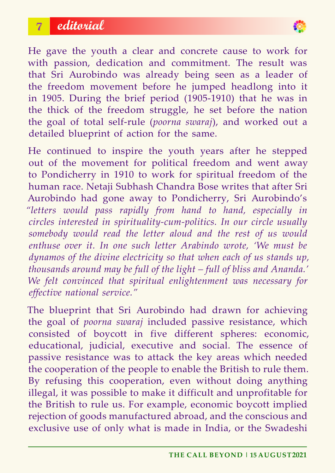# 7 **editorial**



He gave the youth a clear and concrete cause to work for with passion, dedication and commitment. The result was that Sri Aurobindo was already being seen as a leader of the freedom movement before he jumped headlong into it in 1905. During the brief period (1905-1910) that he was in the thick of the freedom struggle, he set before the nation the goal of total self-rule (*poorna swaraj*), and worked out a detailed blueprint of action for the same.

He continued to inspire the youth years after he stepped out of the movement for political freedom and went away to Pondicherry in 1910 to work for spiritual freedom of the human race. Netaji Subhash Chandra Bose writes that after Sri Aurobindo had gone away to Pondicherry, Sri Aurobindo's *"letters would pass rapidly from hand to hand, especially in circles interested in spirituality-cum-politics. In our circle usually somebody would read the letter aloud and the rest of us would enthuse over it. In one such letter Arabindo wrote, 'We must be dynamos of the divine electricity so that when each of us stands up, thousands around may be full of the light – full of bliss and Ananda.' We felt convinced that spiritual enlightenment was necessary for effective national service."*

The blueprint that Sri Aurobindo had drawn for achieving the goal of *poorna swaraj* included passive resistance, which consisted of boycott in five different spheres: economic, educational, judicial, executive and social. The essence of passive resistance was to attack the key areas which needed the cooperation of the people to enable the British to rule them. By refusing this cooperation, even without doing anything illegal, it was possible to make it difficult and unprofitable for the British to rule us. For example, economic boycott implied rejection of goods manufactured abroad, and the conscious and exclusive use of only what is made in India, or the Swadeshi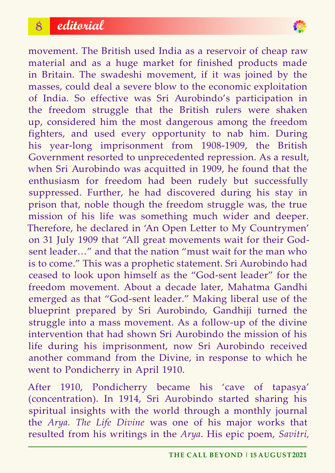

movement. The British used India as a reservoir of cheap raw material and as a huge market for finished products made in Britain. The swadeshi movement, if it was joined by the masses, could deal a severe blow to the economic exploitation of India. So effective was Sri Aurobindo's participation in the freedom struggle that the British rulers were shaken up, considered him the most dangerous among the freedom fighters, and used every opportunity to nab him. During his year-long imprisonment from 1908-1909, the British Government resorted to unprecedented repression. As a result, when Sri Aurobindo was acquitted in 1909, he found that the enthusiasm for freedom had been rudely but successfully suppressed. Further, he had discovered during his stay in prison that, noble though the freedom struggle was, the true mission of his life was something much wider and deeper. Therefore, he declared in 'An Open Letter to My Countrymen' on 31 July 1909 that "All great movements wait for their Godsent leader…" and that the nation "must wait for the man who is to come." This was a prophetic statement. Sri Aurobindo had ceased to look upon himself as the "God-sent leader" for the freedom movement. About a decade later, Mahatma Gandhi emerged as that "God-sent leader." Making liberal use of the blueprint prepared by Sri Aurobindo, Gandhiji turned the struggle into a mass movement. As a follow-up of the divine intervention that had shown Sri Aurobindo the mission of his life during his imprisonment, now Sri Aurobindo received another command from the Divine, in response to which he went to Pondicherry in April 1910.

After 1910, Pondicherry became his 'cave of tapasya' (concentration). In 1914, Sri Aurobindo started sharing his spiritual insights with the world through a monthly journal the *Arya. The Life Divine* was one of his major works that resulted from his writings in the *Arya*. His epic poem, *Savitri,*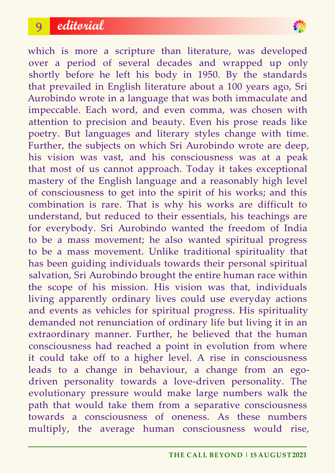# 9 **editorial**



which is more a scripture than literature, was developed over a period of several decades and wrapped up only shortly before he left his body in 1950. By the standards that prevailed in English literature about a 100 years ago, Sri Aurobindo wrote in a language that was both immaculate and impeccable. Each word, and even comma, was chosen with attention to precision and beauty. Even his prose reads like poetry. But languages and literary styles change with time. Further, the subjects on which Sri Aurobindo wrote are deep, his vision was vast, and his consciousness was at a peak that most of us cannot approach. Today it takes exceptional mastery of the English language and a reasonably high level of consciousness to get into the spirit of his works; and this combination is rare. That is why his works are difficult to understand, but reduced to their essentials, his teachings are for everybody. Sri Aurobindo wanted the freedom of India to be a mass movement; he also wanted spiritual progress to be a mass movement. Unlike traditional spirituality that has been guiding individuals towards their personal spiritual salvation, Sri Aurobindo brought the entire human race within the scope of his mission. His vision was that, individuals living apparently ordinary lives could use everyday actions and events as vehicles for spiritual progress. His spirituality demanded not renunciation of ordinary life but living it in an extraordinary manner. Further, he believed that the human consciousness had reached a point in evolution from where it could take off to a higher level. A rise in consciousness leads to a change in behaviour, a change from an egodriven personality towards a love-driven personality. The evolutionary pressure would make large numbers walk the path that would take them from a separative consciousness towards a consciousness of oneness. As these numbers multiply, the average human consciousness would rise,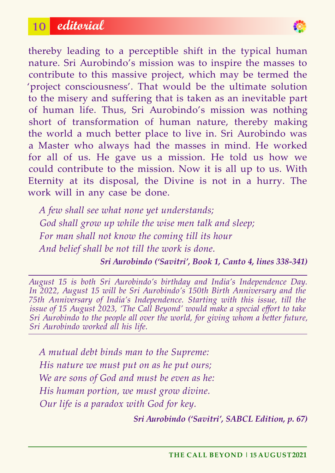# 10 **editorial**



thereby leading to a perceptible shift in the typical human nature. Sri Aurobindo's mission was to inspire the masses to contribute to this massive project, which may be termed the 'project consciousness'. That would be the ultimate solution to the misery and suffering that is taken as an inevitable part of human life. Thus, Sri Aurobindo's mission was nothing short of transformation of human nature, thereby making the world a much better place to live in. Sri Aurobindo was a Master who always had the masses in mind. He worked for all of us. He gave us a mission. He told us how we could contribute to the mission. Now it is all up to us. With Eternity at its disposal, the Divine is not in a hurry. The work will in any case be done.

*A few shall see what none yet understands; God shall grow up while the wise men talk and sleep; For man shall not know the coming till its hour And belief shall be not till the work is done.*

*Sri Aurobindo ('Savitri', Book 1, Canto 4, lines 338-341)*

*August 15 is both Sri Aurobindo's birthday and India's Independence Day. In 2022, August 15 will be Sri Aurobindo's 150th Birth Anniversary and the 75th Anniversary of India's Independence. Starting with this issue, till the issue of 15 August 2023, 'The Call Beyond' would make a special effort to take Sri Aurobindo to the people all over the world, for giving whom a better future, Sri Aurobindo worked all his life.* 

*A mutual debt binds man to the Supreme: His nature we must put on as he put ours; We are sons of God and must be even as he: His human portion, we must grow divine. Our life is a paradox with God for key.*

*Sri Aurobindo ('Savitri', SABCL Edition, p. 67)*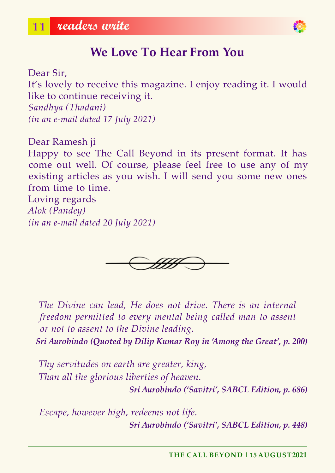

#### **We love To hear From you**

Dear Sir,

It's lovely to receive this magazine. I enjoy reading it. I would like to continue receiving it. *Sandhya (Thadani)*

*(in an e-mail dated 17 July 2021)*

Dear Ramesh ji

Happy to see The Call Beyond in its present format. It has come out well. Of course, please feel free to use any of my existing articles as you wish. I will send you some new ones from time to time.

Loving regards *Alok (Pandey) (in an e-mail dated 20 July 2021)*



*The Divine can lead, He does not drive. There is an internal freedom permitted to every mental being called man to assent or not to assent to the Divine leading.*

*Sri Aurobindo (Quoted by Dilip Kumar Roy in 'Among the Great', p. 200)*

*Thy servitudes on earth are greater, king, Than all the glorious liberties of heaven. Sri Aurobindo ('Savitri', SABCL Edition, p. 686)*

*Escape, however high, redeems not life. Sri Aurobindo ('Savitri', SABCL Edition, p. 448)*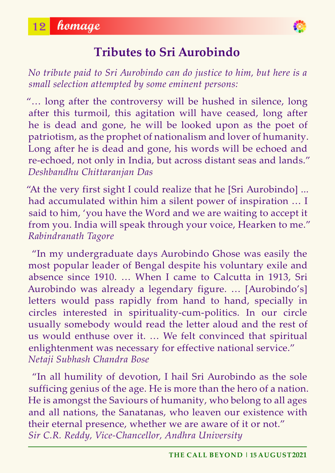

### **Tributes to Sri Aurobindo**

*No tribute paid to Sri Aurobindo can do justice to him, but here is a small selection attempted by some eminent persons:*

"… long after the controversy will be hushed in silence, long after this turmoil, this agitation will have ceased, long after he is dead and gone, he will be looked upon as the poet of patriotism, as the prophet of nationalism and lover of humanity. Long after he is dead and gone, his words will be echoed and re-echoed, not only in India, but across distant seas and lands." *Deshbandhu Chittaranjan Das*

"At the very first sight I could realize that he [Sri Aurobindo] ... had accumulated within him a silent power of inspiration … I said to him, 'you have the Word and we are waiting to accept it from you. India will speak through your voice, Hearken to me." *Rabindranath Tagore* 

 "In my undergraduate days Aurobindo Ghose was easily the most popular leader of Bengal despite his voluntary exile and absence since 1910. … When I came to Calcutta in 1913, Sri Aurobindo was already a legendary figure. … [Aurobindo's] letters would pass rapidly from hand to hand, specially in circles interested in spirituality-cum-politics. In our circle usually somebody would read the letter aloud and the rest of us would enthuse over it. … We felt convinced that spiritual enlightenment was necessary for effective national service." *Netaji Subhash Chandra Bose*

 "In all humility of devotion, I hail Sri Aurobindo as the sole sufficing genius of the age. He is more than the hero of a nation. He is amongst the Saviours of humanity, who belong to all ages and all nations, the Sanatanas, who leaven our existence with their eternal presence, whether we are aware of it or not." *Sir C.R. Reddy, Vice-Chancellor, Andhra University*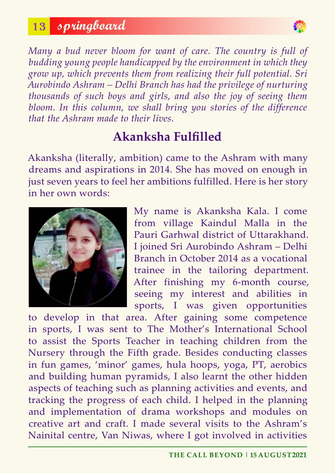## 13 **springboard**



*Many a bud never bloom for want of care. The country is full of budding young people handicapped by the environment in which they grow up, which prevents them from realizing their full potential. Sri Aurobindo Ashram – Delhi Branch has had the privilege of nurturing thousands of such boys and girls, and also the joy of seeing them bloom. In this column, we shall bring you stories of the difference that the Ashram made to their lives.* 

## **Akanksha Fulfilled**

Akanksha (literally, ambition) came to the Ashram with many dreams and aspirations in 2014. She has moved on enough in just seven years to feel her ambitions fulfilled. Here is her story in her own words:



My name is Akanksha Kala. I come from village Kaindul Malla in the Pauri Garhwal district of Uttarakhand. I joined Sri Aurobindo Ashram – Delhi Branch in October 2014 as a vocational trainee in the tailoring department. After finishing my 6-month course, seeing my interest and abilities in sports, I was given opportunities

to develop in that area. After gaining some competence in sports, I was sent to The Mother's International School to assist the Sports Teacher in teaching children from the Nursery through the Fifth grade. Besides conducting classes in fun games, 'minor' games, hula hoops, yoga, PT, aerobics and building human pyramids, I also learnt the other hidden aspects of teaching such as planning activities and events, and tracking the progress of each child. I helped in the planning and implementation of drama workshops and modules on creative art and craft. I made several visits to the Ashram's Nainital centre, Van Niwas, where I got involved in activities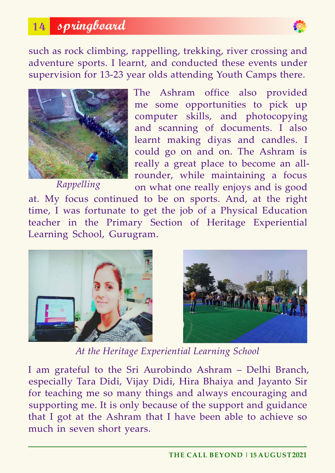## 14 **springboard**



such as rock climbing, rappelling, trekking, river crossing and adventure sports. I learnt, and conducted these events under supervision for 13-23 year olds attending Youth Camps there.



*Rappelling*

The Ashram office also provided me some opportunities to pick up computer skills, and photocopying and scanning of documents. I also learnt making diyas and candles. I could go on and on. The Ashram is really a great place to become an allrounder, while maintaining a focus on what one really enjoys and is good

at. My focus continued to be on sports. And, at the right time, I was fortunate to get the job of a Physical Education teacher in the Primary Section of Heritage Experiential Learning School, Gurugram.





*At the Heritage Experiential Learning School*

I am grateful to the Sri Aurobindo Ashram – Delhi Branch, especially Tara Didi, Vijay Didi, Hira Bhaiya and Jayanto Sir for teaching me so many things and always encouraging and supporting me. It is only because of the support and guidance that I got at the Ashram that I have been able to achieve so much in seven short years.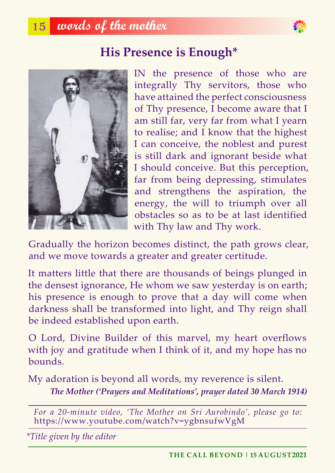

#### **his Presence is Enough\***



IN the presence of those who are integrally Thy servitors, those who have attained the perfect consciousness of Thy presence, I become aware that I am still far, very far from what I yearn to realise; and I know that the highest I can conceive, the noblest and purest is still dark and ignorant beside what I should conceive. But this perception, far from being depressing, stimulates and strengthens the aspiration, the energy, the will to triumph over all obstacles so as to be at last identified with Thy law and Thy work.

Gradually the horizon becomes distinct, the path grows clear, and we move towards a greater and greater certitude.

It matters little that there are thousands of beings plunged in the densest ignorance, He whom we saw yesterday is on earth; his presence is enough to prove that a day will come when darkness shall be transformed into light, and Thy reign shall be indeed established upon earth.

O Lord, Divine Builder of this marvel, my heart overflows with joy and gratitude when I think of it, and my hope has no bounds.

My adoration is beyond all words, my reverence is silent.

*The Mother ('Prayers and Meditations', prayer dated 30 March 1914)* 

*For a 20-minute video, 'The Mother on Sri Aurobindo', please go to:*  https://www.youtube.com/watch?v=ygbnsufwVgM

*\*Title given by the editor*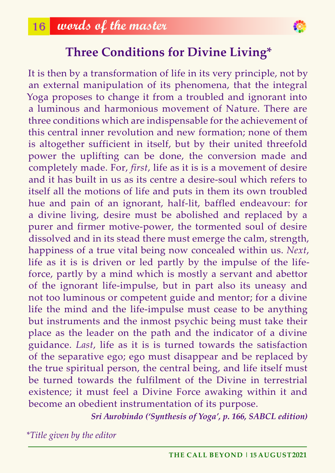

#### **Three Conditions for Divine Living\***

It is then by a transformation of life in its very principle, not by an external manipulation of its phenomena, that the integral Yoga proposes to change it from a troubled and ignorant into a luminous and harmonious movement of Nature. There are three conditions which are indispensable for the achievement of this central inner revolution and new formation; none of them is altogether sufficient in itself, but by their united threefold power the uplifting can be done, the conversion made and completely made. For, *first*, life as it is is a movement of desire and it has built in us as its centre a desire-soul which refers to itself all the motions of life and puts in them its own troubled hue and pain of an ignorant, half-lit, baffled endeavour: for a divine living, desire must be abolished and replaced by a purer and firmer motive-power, the tormented soul of desire dissolved and in its stead there must emerge the calm, strength, happiness of a true vital being now concealed within us. *Next*, life as it is is driven or led partly by the impulse of the lifeforce, partly by a mind which is mostly a servant and abettor of the ignorant life-impulse, but in part also its uneasy and not too luminous or competent guide and mentor; for a divine life the mind and the life-impulse must cease to be anything but instruments and the inmost psychic being must take their place as the leader on the path and the indicator of a divine guidance. *Last*, life as it is is turned towards the satisfaction of the separative ego; ego must disappear and be replaced by the true spiritual person, the central being, and life itself must be turned towards the fulfilment of the Divine in terrestrial existence; it must feel a Divine Force awaking within it and become an obedient instrumentation of its purpose.

*Sri Aurobindo ('Synthesis of Yoga', p. 166, SABCL edition)*

*\*Title given by the editor*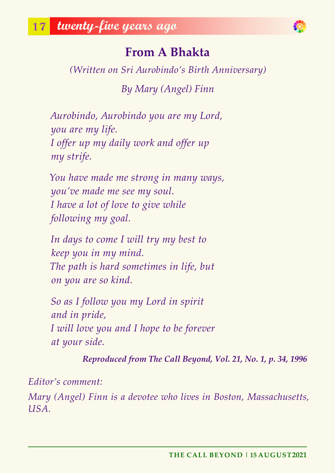

# **From a Bhakta**

*(Written on Sri Aurobindo's Birth Anniversary)*

*By Mary (Angel) Finn*

*Aurobindo, Aurobindo you are my Lord, you are my life. I offer up my daily work and offer up my strife.*

*You have made me strong in many ways, you've made me see my soul. I have a lot of love to give while following my goal.*

*In days to come I will try my best to keep you in my mind. The path is hard sometimes in life, but on you are so kind.*

*So as I follow you my Lord in spirit and in pride, I will love you and I hope to be forever at your side.*

*Reproduced from The Call Beyond, Vol. 21, No. 1, p. 34, 1996*

*Editor's comment:*

*Mary (Angel) Finn is a devotee who lives in Boston, Massachusetts, USA.*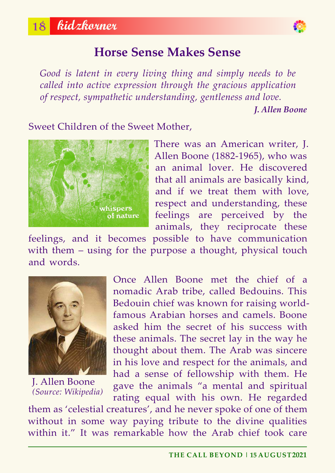

#### **horse Sense Makes Sense**

*Good is latent in every living thing and simply needs to be called into active expression through the gracious application of respect, sympathetic understanding, gentleness and love.*

*J. Allen Boone*

#### Sweet Children of the Sweet Mother,



There was an American writer, J. Allen Boone (1882-1965), who was an animal lover. He discovered that all animals are basically kind, and if we treat them with love, respect and understanding, these feelings are perceived by the animals, they reciprocate these

feelings, and it becomes possible to have communication with them – using for the purpose a thought, physical touch and words.



J. Allen Boone *(Source: Wikipedia)*

Once Allen Boone met the chief of a nomadic Arab tribe, called Bedouins. This Bedouin chief was known for raising worldfamous Arabian horses and camels. Boone asked him the secret of his success with these animals. The secret lay in the way he thought about them. The Arab was sincere in his love and respect for the animals, and had a sense of fellowship with them. He gave the animals "a mental and spiritual rating equal with his own. He regarded

them as 'celestial creatures', and he never spoke of one of them without in some way paying tribute to the divine qualities within it." It was remarkable how the Arab chief took care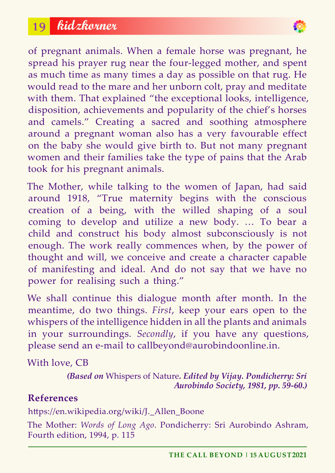

of pregnant animals. When a female horse was pregnant, he spread his prayer rug near the four-legged mother, and spent as much time as many times a day as possible on that rug. He would read to the mare and her unborn colt, pray and meditate with them. That explained "the exceptional looks, intelligence, disposition, achievements and popularity of the chief's horses and camels." Creating a sacred and soothing atmosphere around a pregnant woman also has a very favourable effect on the baby she would give birth to. But not many pregnant women and their families take the type of pains that the Arab took for his pregnant animals.

The Mother, while talking to the women of Japan, had said around 1918, "True maternity begins with the conscious creation of a being, with the willed shaping of a soul coming to develop and utilize a new body. … To bear a child and construct his body almost subconsciously is not enough. The work really commences when, by the power of thought and will, we conceive and create a character capable of manifesting and ideal. And do not say that we have no power for realising such a thing."

We shall continue this dialogue month after month. In the meantime, do two things. *First*, keep your ears open to the whispers of the intelligence hidden in all the plants and animals in your surroundings. *Secondly*, if you have any questions, please send an e-mail to callbeyond@aurobindoonline.in.

With love, CB

*(Based on* Whispers of Nature*. Edited by Vijay. Pondicherry: Sri Aurobindo Society, 1981, pp. 59-60.)*

#### **References**

https://en.wikipedia.org/wiki/J.\_Allen\_Boone

The Mother: *Words of Long Ago*. Pondicherry: Sri Aurobindo Ashram, Fourth edition, 1994, p. 115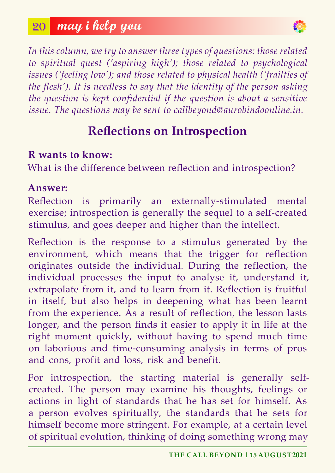

*In this column, we try to answer three types of questions: those related to spiritual quest ('aspiring high'); those related to psychological issues ('feeling low'); and those related to physical health ('frailties of the flesh'). It is needless to say that the identity of the person asking the question is kept confidential if the question is about a sensitive issue. The questions may be sent to callbeyond@aurobindoonline.in.*

# **Reflections on Introspection**

#### **R wants to know:**

What is the difference between reflection and introspection?

#### **answer:**

Reflection is primarily an externally-stimulated mental exercise; introspection is generally the sequel to a self-created stimulus, and goes deeper and higher than the intellect.

Reflection is the response to a stimulus generated by the environment, which means that the trigger for reflection originates outside the individual. During the reflection, the individual processes the input to analyse it, understand it, extrapolate from it, and to learn from it. Reflection is fruitful in itself, but also helps in deepening what has been learnt from the experience. As a result of reflection, the lesson lasts longer, and the person finds it easier to apply it in life at the right moment quickly, without having to spend much time on laborious and time-consuming analysis in terms of pros and cons, profit and loss, risk and benefit.

For introspection, the starting material is generally selfcreated. The person may examine his thoughts, feelings or actions in light of standards that he has set for himself. As a person evolves spiritually, the standards that he sets for himself become more stringent. For example, at a certain level of spiritual evolution, thinking of doing something wrong may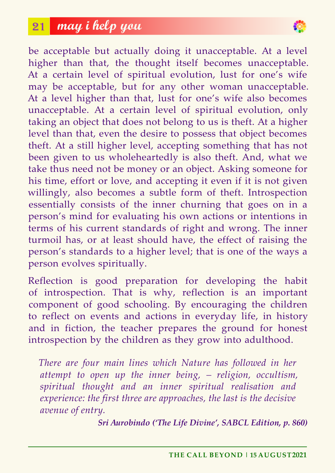

be acceptable but actually doing it unacceptable. At a level higher than that, the thought itself becomes unacceptable. At a certain level of spiritual evolution, lust for one's wife may be acceptable, but for any other woman unacceptable. At a level higher than that, lust for one's wife also becomes unacceptable. At a certain level of spiritual evolution, only taking an object that does not belong to us is theft. At a higher level than that, even the desire to possess that object becomes theft. At a still higher level, accepting something that has not been given to us wholeheartedly is also theft. And, what we take thus need not be money or an object. Asking someone for his time, effort or love, and accepting it even if it is not given willingly, also becomes a subtle form of theft. Introspection essentially consists of the inner churning that goes on in a person's mind for evaluating his own actions or intentions in terms of his current standards of right and wrong. The inner turmoil has, or at least should have, the effect of raising the person's standards to a higher level; that is one of the ways a person evolves spiritually.

Reflection is good preparation for developing the habit of introspection. That is why, reflection is an important component of good schooling. By encouraging the children to reflect on events and actions in everyday life, in history and in fiction, the teacher prepares the ground for honest introspection by the children as they grow into adulthood.

*There are four main lines which Nature has followed in her attempt to open up the inner being, – religion, occultism, spiritual thought and an inner spiritual realisation and experience: the first three are approaches, the last is the decisive avenue of entry.*

*Sri Aurobindo ('The Life Divine', SABCL Edition, p. 860)*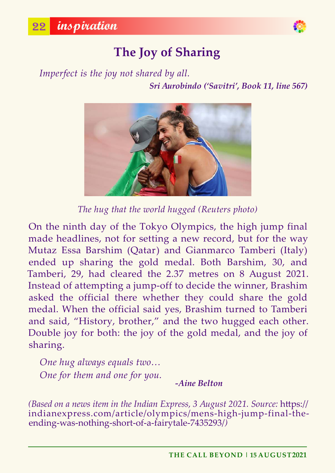

# **The Joy of Sharing**

*Imperfect is the joy not shared by all. Sri Aurobindo ('Savitri', Book 11, line 567)*



*The hug that the world hugged (Reuters photo)*

On the ninth day of the Tokyo Olympics, the high jump final made headlines, not for setting a new record, but for the way Mutaz Essa Barshim (Qatar) and Gianmarco Tamberi (Italy) ended up sharing the gold medal. Both Barshim, 30, and Tamberi, 29, had cleared the 2.37 metres on 8 August 2021. Instead of attempting a jump-off to decide the winner, Brashim asked the official there whether they could share the gold medal. When the official said yes, Brashim turned to Tamberi and said, "History, brother," and the two hugged each other. Double joy for both: the joy of the gold medal, and the joy of sharing.

*One hug always equals two… One for them and one for you.*

*-Aine Belton*

*(Based on a news item in the Indian Express, 3 August 2021. Source:* https:// indianexpress.com/article/olympics/mens-high-jump-final-theending-was-nothing-short-of-a-fairytale-7435293/*)*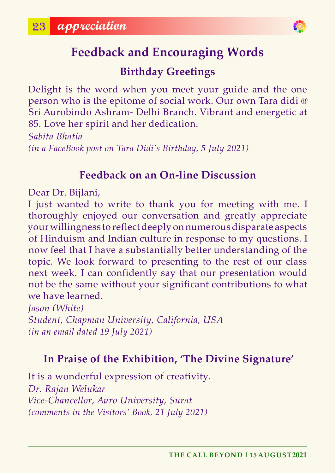

#### **Feedback and Encouraging Words**

#### **Birthday Greetings**

Delight is the word when you meet your guide and the one person who is the epitome of social work. Our own Tara didi @ Sri Aurobindo Ashram- Delhi Branch. Vibrant and energetic at 85. Love her spirit and her dedication.

*Sabita Bhatia (in a FaceBook post on Tara Didi's Birthday, 5 July 2021)*

#### **Feedback on an On-line Discussion**

Dear Dr. Bijlani,

I just wanted to write to thank you for meeting with me. I thoroughly enjoyed our conversation and greatly appreciate your willingness to reflect deeply on numerous disparate aspects of Hinduism and Indian culture in response to my questions. I now feel that I have a substantially better understanding of the topic. We look forward to presenting to the rest of our class next week. I can confidently say that our presentation would not be the same without your significant contributions to what we have learned.

*Jason (White) Student, Chapman University, California, USA (in an email dated 19 July 2021)*

#### **In Praise of the Exhibition, 'The Divine Signature'**

It is a wonderful expression of creativity. *Dr. Rajan Welukar Vice-Chancellor, Auro University, Surat (comments in the Visitors' Book, 21 July 2021)*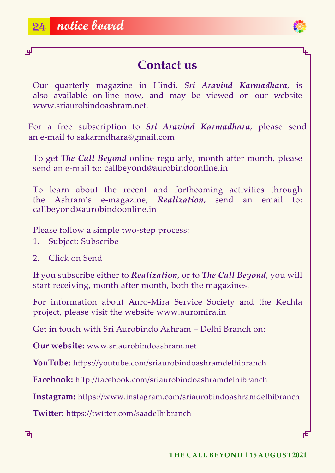

#### **Contact us**

Our quarterly magazine in Hindi, *Sri Aravind Karmadhara*, is also available on-line now, and may be viewed on our website www.sriaurobindoashram.net.

For a free subscription to *Sri Aravind Karmadhara,* please send an e-mail to sakarmdhara@gmail.com

To get *The Call Beyond* online regularly, month after month, please send an e-mail to: callbeyond@aurobindoonline.in

To learn about the recent and forthcoming activities through the Ashram's e-magazine, *Realization*, send an email to: callbeyond@aurobindoonline.in

Please follow a simple two-step process:

- 1. Subject: Subscribe
- 2. Click on Send

If you subscribe either to *Realization*, or to *The Call Beyond*, you will start receiving, month after month, both the magazines.

For information about Auro-Mira Service Society and the Kechla project, please visit the website www.auromira.in

Get in touch with Sri Aurobindo Ashram – Delhi Branch on:

**our website:** www.sriaurobindoashram.net

**youTube:** https://youtube.com/sriaurobindoashramdelhibranch

**Facebook:** http://facebook.com/sriaurobindoashramdelhibranch

**Instagram:** https://www.instagram.com/sriaurobindoashramdelhibranch

**Twitter:** https://twitter.com/saadelhibranch